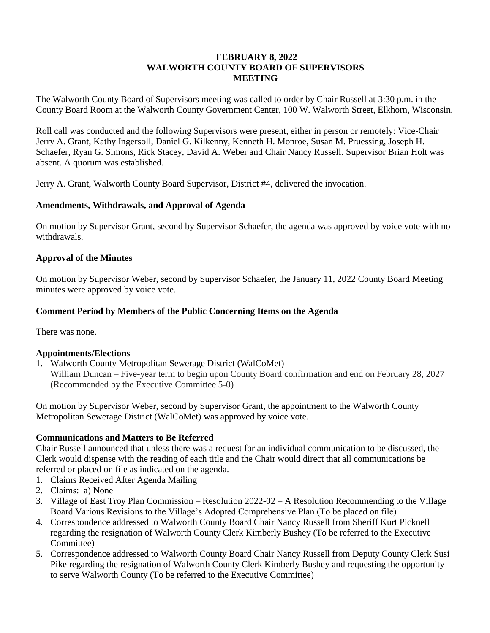### **FEBRUARY 8, 2022 WALWORTH COUNTY BOARD OF SUPERVISORS MEETING**

The Walworth County Board of Supervisors meeting was called to order by Chair Russell at 3:30 p.m. in the County Board Room at the Walworth County Government Center, 100 W. Walworth Street, Elkhorn, Wisconsin.

Roll call was conducted and the following Supervisors were present, either in person or remotely: Vice-Chair Jerry A. Grant, Kathy Ingersoll, Daniel G. Kilkenny, Kenneth H. Monroe, Susan M. Pruessing, Joseph H. Schaefer, Ryan G. Simons, Rick Stacey, David A. Weber and Chair Nancy Russell. Supervisor Brian Holt was absent. A quorum was established.

Jerry A. Grant, Walworth County Board Supervisor, District #4, delivered the invocation.

### **Amendments, Withdrawals, and Approval of Agenda**

On motion by Supervisor Grant, second by Supervisor Schaefer, the agenda was approved by voice vote with no withdrawals.

### **Approval of the Minutes**

On motion by Supervisor Weber, second by Supervisor Schaefer, the January 11, 2022 County Board Meeting minutes were approved by voice vote.

### **Comment Period by Members of the Public Concerning Items on the Agenda**

There was none.

#### **Appointments/Elections**

1. Walworth County Metropolitan Sewerage District (WalCoMet) William Duncan – Five-year term to begin upon County Board confirmation and end on February 28, 2027 (Recommended by the Executive Committee 5-0)

On motion by Supervisor Weber, second by Supervisor Grant, the appointment to the Walworth County Metropolitan Sewerage District (WalCoMet) was approved by voice vote.

### **Communications and Matters to Be Referred**

Chair Russell announced that unless there was a request for an individual communication to be discussed, the Clerk would dispense with the reading of each title and the Chair would direct that all communications be referred or placed on file as indicated on the agenda.

- 1. Claims Received After Agenda Mailing
- 2. Claims: a) None
- 3. Village of East Troy Plan Commission Resolution 2022-02 A Resolution Recommending to the Village Board Various Revisions to the Village's Adopted Comprehensive Plan (To be placed on file)
- 4. Correspondence addressed to Walworth County Board Chair Nancy Russell from Sheriff Kurt Picknell regarding the resignation of Walworth County Clerk Kimberly Bushey (To be referred to the Executive Committee)
- 5. Correspondence addressed to Walworth County Board Chair Nancy Russell from Deputy County Clerk Susi Pike regarding the resignation of Walworth County Clerk Kimberly Bushey and requesting the opportunity to serve Walworth County (To be referred to the Executive Committee)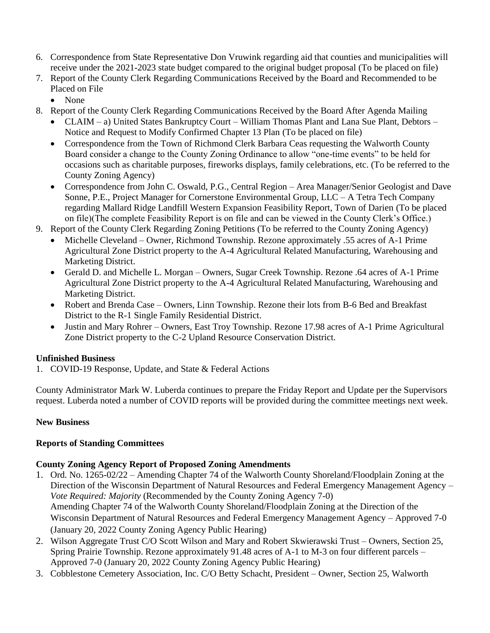- 6. Correspondence from State Representative Don Vruwink regarding aid that counties and municipalities will receive under the 2021-2023 state budget compared to the original budget proposal (To be placed on file)
- 7. Report of the County Clerk Regarding Communications Received by the Board and Recommended to be Placed on File
	- None
- 8. Report of the County Clerk Regarding Communications Received by the Board After Agenda Mailing
	- CLAIM a) United States Bankruptcy Court William Thomas Plant and Lana Sue Plant, Debtors Notice and Request to Modify Confirmed Chapter 13 Plan (To be placed on file)
	- Correspondence from the Town of Richmond Clerk Barbara Ceas requesting the Walworth County Board consider a change to the County Zoning Ordinance to allow "one-time events" to be held for occasions such as charitable purposes, fireworks displays, family celebrations, etc. (To be referred to the County Zoning Agency)
	- Correspondence from John C. Oswald, P.G., Central Region Area Manager/Senior Geologist and Dave Sonne, P.E., Project Manager for Cornerstone Environmental Group, LLC – A Tetra Tech Company regarding Mallard Ridge Landfill Western Expansion Feasibility Report, Town of Darien (To be placed on file)(The complete Feasibility Report is on file and can be viewed in the County Clerk's Office.)
- 9. Report of the County Clerk Regarding Zoning Petitions (To be referred to the County Zoning Agency)
	- Michelle Cleveland Owner, Richmond Township. Rezone approximately .55 acres of A-1 Prime Agricultural Zone District property to the A-4 Agricultural Related Manufacturing, Warehousing and Marketing District.
	- Gerald D. and Michelle L. Morgan Owners, Sugar Creek Township. Rezone .64 acres of A-1 Prime Agricultural Zone District property to the A-4 Agricultural Related Manufacturing, Warehousing and Marketing District.
	- Robert and Brenda Case Owners, Linn Township. Rezone their lots from B-6 Bed and Breakfast District to the R-1 Single Family Residential District.
	- Justin and Mary Rohrer Owners, East Troy Township. Rezone 17.98 acres of A-1 Prime Agricultural Zone District property to the C-2 Upland Resource Conservation District.

# **Unfinished Business**

1. COVID-19 Response, Update, and State & Federal Actions

County Administrator Mark W. Luberda continues to prepare the Friday Report and Update per the Supervisors request. Luberda noted a number of COVID reports will be provided during the committee meetings next week.

## **New Business**

## **Reports of Standing Committees**

# **County Zoning Agency Report of Proposed Zoning Amendments**

- 1. Ord. No. 1265-02/22 Amending Chapter 74 of the Walworth County Shoreland/Floodplain Zoning at the Direction of the Wisconsin Department of Natural Resources and Federal Emergency Management Agency – *Vote Required: Majority* (Recommended by the County Zoning Agency 7-0) Amending Chapter 74 of the Walworth County Shoreland/Floodplain Zoning at the Direction of the Wisconsin Department of Natural Resources and Federal Emergency Management Agency – Approved 7-0 (January 20, 2022 County Zoning Agency Public Hearing)
- 2. Wilson Aggregate Trust C/O Scott Wilson and Mary and Robert Skwierawski Trust Owners, Section 25, Spring Prairie Township. Rezone approximately 91.48 acres of A-1 to M-3 on four different parcels – Approved 7-0 (January 20, 2022 County Zoning Agency Public Hearing)
- 3. Cobblestone Cemetery Association, Inc. C/O Betty Schacht, President Owner, Section 25, Walworth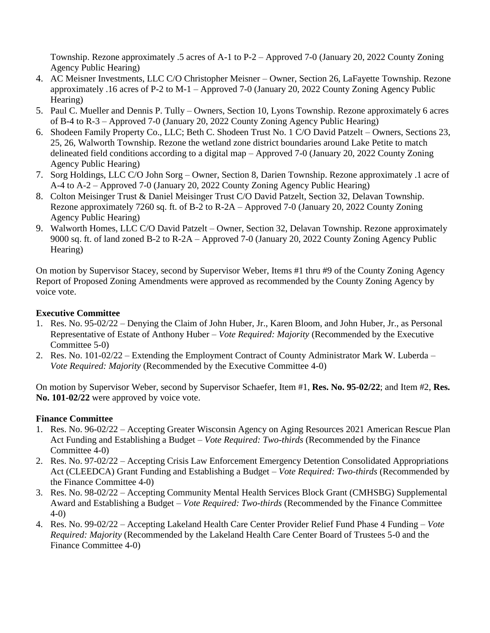Township. Rezone approximately .5 acres of A-1 to P-2 – Approved 7-0 (January 20, 2022 County Zoning Agency Public Hearing)

- 4. AC Meisner Investments, LLC C/O Christopher Meisner Owner, Section 26, LaFayette Township. Rezone approximately .16 acres of P-2 to M-1 – Approved 7-0 (January 20, 2022 County Zoning Agency Public Hearing)
- 5. Paul C. Mueller and Dennis P. Tully Owners, Section 10, Lyons Township. Rezone approximately 6 acres of B-4 to R-3 – Approved 7-0 (January 20, 2022 County Zoning Agency Public Hearing)
- 6. Shodeen Family Property Co., LLC; Beth C. Shodeen Trust No. 1 C/O David Patzelt Owners, Sections 23, 25, 26, Walworth Township. Rezone the wetland zone district boundaries around Lake Petite to match delineated field conditions according to a digital map – Approved 7-0 (January 20, 2022 County Zoning Agency Public Hearing)
- 7. Sorg Holdings, LLC C/O John Sorg Owner, Section 8, Darien Township. Rezone approximately .1 acre of A-4 to A-2 – Approved 7-0 (January 20, 2022 County Zoning Agency Public Hearing)
- 8. Colton Meisinger Trust & Daniel Meisinger Trust C/O David Patzelt, Section 32, Delavan Township. Rezone approximately 7260 sq. ft. of B-2 to R-2A – Approved 7-0 (January 20, 2022 County Zoning Agency Public Hearing)
- 9. Walworth Homes, LLC C/O David Patzelt Owner, Section 32, Delavan Township. Rezone approximately 9000 sq. ft. of land zoned B-2 to R-2A – Approved 7-0 (January 20, 2022 County Zoning Agency Public Hearing)

On motion by Supervisor Stacey, second by Supervisor Weber, Items #1 thru #9 of the County Zoning Agency Report of Proposed Zoning Amendments were approved as recommended by the County Zoning Agency by voice vote.

## **Executive Committee**

- 1. Res. No. 95-02/22 Denying the Claim of John Huber, Jr., Karen Bloom, and John Huber, Jr., as Personal Representative of Estate of Anthony Huber – *Vote Required: Majority* (Recommended by the Executive Committee 5-0)
- 2. Res. No. 101-02/22 Extending the Employment Contract of County Administrator Mark W. Luberda *Vote Required: Majority* (Recommended by the Executive Committee 4-0)

On motion by Supervisor Weber, second by Supervisor Schaefer, Item #1, **Res. No. 95-02/22**; and Item #2, **Res. No. 101-02/22** were approved by voice vote.

## **Finance Committee**

- 1. Res. No. 96-02/22 Accepting Greater Wisconsin Agency on Aging Resources 2021 American Rescue Plan Act Funding and Establishing a Budget – *Vote Required: Two-thirds* (Recommended by the Finance Committee 4-0)
- 2. Res. No. 97-02/22 Accepting Crisis Law Enforcement Emergency Detention Consolidated Appropriations Act (CLEEDCA) Grant Funding and Establishing a Budget – *Vote Required: Two-thirds* (Recommended by the Finance Committee 4-0)
- 3. Res. No. 98-02/22 Accepting Community Mental Health Services Block Grant (CMHSBG) Supplemental Award and Establishing a Budget – *Vote Required: Two-thirds* (Recommended by the Finance Committee 4-0)
- 4. Res. No. 99-02/22 Accepting Lakeland Health Care Center Provider Relief Fund Phase 4 Funding *Vote Required: Majority* (Recommended by the Lakeland Health Care Center Board of Trustees 5-0 and the Finance Committee 4-0)